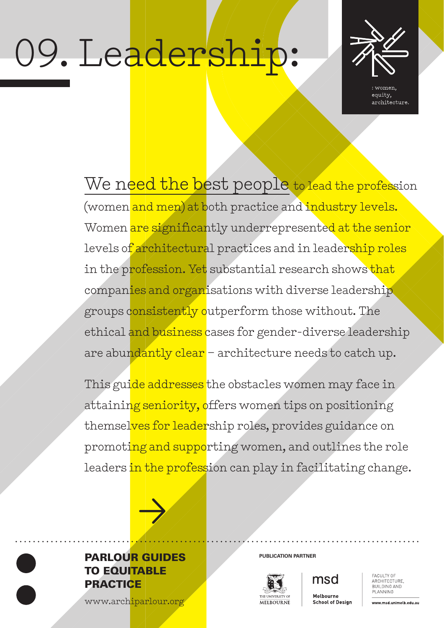# 09. Leadership:



women. equity, architecture.

We need the best people to lead the profession (women and men) at both practice and industry levels. Women are significantly underrepresented at the senior levels of architectural practices and in leadership roles in the profession. Yet substantial research shows that companies and organisations with diverse leadership groups consistently outperform those without. The ethical and business cases for gender-diverse leadership are abundantly clear – architecture needs to catch up.

This guide addresses the obstacles women may face in attaining seniority, offers women tips on positioning themselves for leadership roles, provides guidance on promoting and supporting women, and outlines the role leaders in the profession can play in facilitating change.



# **PARLOUR GUIDES** PUBLICATION PARTNER TO EQUITABLE **PRACTICE**

[www.archiparlour.org](http://www.archiparlour.org)



msd Melbourne

**School of Design** 

FACULTY OF ARCHITECTURE BUILDING AND PLANNING

www.msd.unimelb.edu.au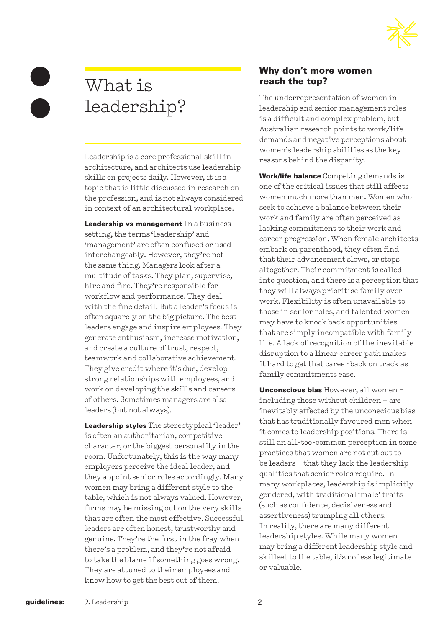

# What is leadership?

Leadership is a core professional skill in architecture, and architects use leadership skills on projects daily. However, it is a topic that is little discussed in research on the profession, and is not always considered in context of an architectural workplace.

Leadership vs management In a business setting, the terms 'leadership' and 'management' are often confused or used interchangeably. However, they're not the same thing. Managers look after a multitude of tasks. They plan, supervise, hire and fire. They're responsible for workflow and performance. They deal with the fine detail. But a leader's focus is often squarely on the big picture. The best leaders engage and inspire employees. They generate enthusiasm, increase motivation, and create a culture of trust, respect, teamwork and collaborative achievement. They give credit where it's due, develop strong relationships with employees, and work on developing the skills and careers of others. Sometimes managers are also leaders (but not always).

Leadership styles The stereotypical 'leader' is often an authoritarian, competitive character, or the biggest personality in the room. Unfortunately, this is the way many employers perceive the ideal leader, and they appoint senior roles accordingly. Many women may bring a different style to the table, which is not always valued. However, firms may be missing out on the very skills that are often the most effective. Successful leaders are often honest, trustworthy and genuine. They're the first in the fray when there's a problem, and they're not afraid to take the blame if something goes wrong. They are attuned to their employees and know how to get the best out of them.

#### Why don't more women reach the top?

The underrepresentation of women in leadership and senior management roles is a difficult and complex problem, but Australian research points to work/life demands and negative perceptions about women's leadership abilities as the key reasons behind the disparity.

Work/life balance Competing demands is one of the critical issues that still affects women much more than men. Women who seek to achieve a balance between their work and family are often perceived as lacking commitment to their work and career progression. When female architects embark on parenthood, they often find that their advancement slows, or stops altogether. Their commitment is called into question, and there is a perception that they will always prioritise family over work. Flexibility is often unavailable to those in senior roles, and talented women may have to knock back opportunities that are simply incompatible with family life. A lack of recognition of the inevitable disruption to a linear career path makes it hard to get that career back on track as family commitments ease.

Unconscious bias However, all women including those without children – are inevitably affected by the unconscious bias that has traditionally favoured men when it comes to leadership positions. There is still an all-too-common perception in some practices that women are not cut out to be leaders – that they lack the leadership qualities that senior roles require. In many workplaces, leadership is implicitly gendered, with traditional 'male' traits (such as confidence, decisiveness and assertiveness) trumping all others. In reality, there are many different leadership styles. While many women may bring a different leadership style and skillset to the table, it's no less legitimate or valuable.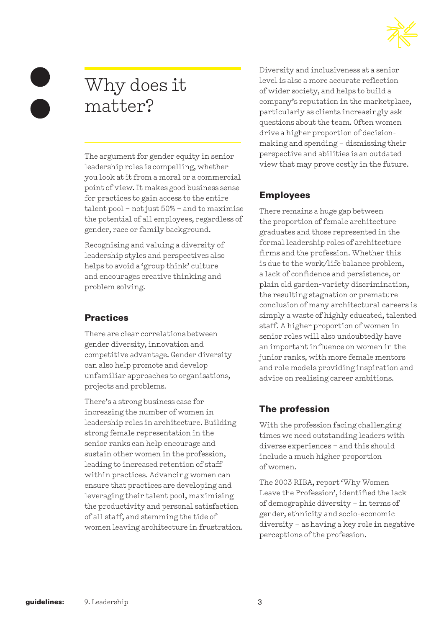

# Why does it matter?

The argument for gender equity in senior leadership roles is compelling, whether you look at it from a moral or a commercial point of view. It makes good business sense for practices to gain access to the entire talent pool – not just 50% – and to maximise the potential of all employees, regardless of gender, race or family background.

Recognising and valuing a diversity of leadership styles and perspectives also helps to avoid a 'group think' culture and encourages creative thinking and problem solving.

# **Practices**

There are clear correlations between gender diversity, innovation and competitive advantage. Gender diversity can also help promote and develop unfamiliar approaches to organisations, projects and problems.

There's a strong business case for increasing the number of women in leadership roles in architecture. Building strong female representation in the senior ranks can help encourage and sustain other women in the profession, leading to increased retention of staff within practices. Advancing women can ensure that practices are developing and leveraging their talent pool, maximising the productivity and personal satisfaction of all staff, and stemming the tide of women leaving architecture in frustration. Diversity and inclusiveness at a senior level is also a more accurate reflection of wider society, and helps to build a company's reputation in the marketplace, particularly as clients increasingly ask questions about the team. Often women drive a higher proportion of decisionmaking and spending – dismissing their perspective and abilities is an outdated view that may prove costly in the future.

# Employees

There remains a huge gap between the proportion of female architecture graduates and those represented in the formal leadership roles of architecture firms and the profession. Whether this is due to the work/life balance problem, a lack of confidence and persistence, or plain old garden-variety discrimination, the resulting stagnation or premature conclusion of many architectural careers is simply a waste of highly educated, talented staff. A higher proportion of women in senior roles will also undoubtedly have an important influence on women in the junior ranks, with more female mentors and role models providing inspiration and advice on realising career ambitions.

# The profession

With the profession facing challenging times we need outstanding leaders with diverse experiences – and this should include a much higher proportion of women.

The 2003 RIBA, report 'Why Women Leave the Profession', identified the lack of demographic diversity – in terms of gender, ethnicity and socio-economic diversity – as having a key role in negative perceptions of the profession.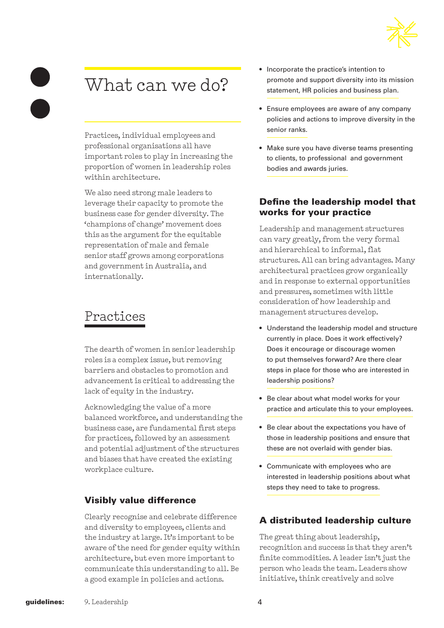

# What can we do?

Practices, individual employees and professional organisations all have important roles to play in increasing the proportion of women in leadership roles within architecture.

We also need strong male leaders to leverage their capacity to promote the business case for gender diversity. The 'champions of change' movement does this as the argument for the equitable representation of male and female senior staff grows among corporations and government in Australia, and internationally.

# Practices

The dearth of women in senior leadership roles is a complex issue, but removing barriers and obstacles to promotion and advancement is critical to addressing the lack of equity in the industry.

Acknowledging the value of a more balanced workforce, and understanding the business case, are fundamental first steps for practices, followed by an assessment and potential adjustment of the structures and biases that have created the existing workplace culture.

# Visibly value difference

Clearly recognise and celebrate difference and diversity to employees, clients and the industry at large. It's important to be aware of the need for gender equity within architecture, but even more important to communicate this understanding to all. Be a good example in policies and actions.

- Incorporate the practice's intention to promote and support diversity into its mission statement, HR policies and business plan.
- Ensure employees are aware of any company policies and actions to improve diversity in the senior ranks.
- Make sure you have diverse teams presenting to clients, to professional and government bodies and awards juries.

# Define the leadership model that works for your practice

Leadership and management structures can vary greatly, from the very formal and hierarchical to informal, flat structures. All can bring advantages. Many architectural practices grow organically and in response to external opportunities and pressures, sometimes with little consideration of how leadership and management structures develop.

- Understand the leadership model and structure currently in place. Does it work effectively? Does it encourage or discourage women to put themselves forward? Are there clear steps in place for those who are interested in leadership positions?
- Be clear about what model works for your practice and articulate this to your employees.
- Be clear about the expectations you have of those in leadership positions and ensure that these are not overlaid with gender bias.
- Communicate with employees who are interested in leadership positions about what steps they need to take to progress.

# A distributed leadership culture

The great thing about leadership, recognition and success is that they aren't finite commodities. A leader isn't just the person who leads the team. Leaders show initiative, think creatively and solve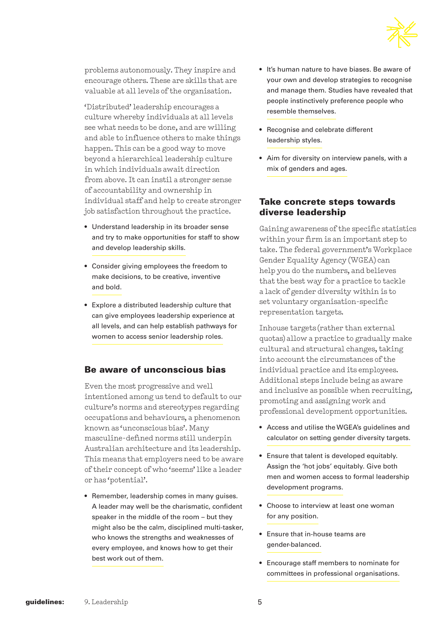

problems autonomously. They inspire and encourage others. These are skills that are valuable at all levels of the organisation.

'Distributed' leadership encourages a culture whereby individuals at all levels see what needs to be done, and are willing and able to influence others to make things happen. This can be a good way to move beyond a hierarchical leadership culture in which individuals await direction from above. It can instil a stronger sense of accountability and ownership in individual staff and help to create stronger job satisfaction throughout the practice.

- Understand leadership in its broader sense and try to make opportunities for staff to show and develop leadership skills.
- Consider giving employees the freedom to make decisions, to be creative, inventive and bold.
- Explore a distributed leadership culture that can give employees leadership experience at all levels, and can help establish pathways for women to access senior leadership roles.

#### Be aware of unconscious bias

Even the most progressive and well intentioned among us tend to default to our culture's norms and stereotypes regarding occupations and behaviours, a phenomenon known as 'unconscious bias'. Many masculine-defined norms still underpin Australian architecture and its leadership. This means that employers need to be aware of their concept of who 'seems' like a leader or has 'potential'.

• Remember, leadership comes in many guises. A leader may well be the charismatic, confident speaker in the middle of the room – but they might also be the calm, disciplined multi-tasker, who knows the strengths and weaknesses of every employee, and knows how to get their best work out of them.

- It's human nature to have biases. Be aware of your own and develop strategies to recognise and manage them. Studies have revealed that people instinctively preference people who resemble themselves.
- Recognise and celebrate different leadership styles.
- Aim for diversity on interview panels, with a mix of genders and ages.

### Take concrete steps towards diverse leadership

Gaining awareness of the specific statistics within your firm is an important step to take. The federal government's Workplace Gender Equality Agency (WGEA) can help you do the numbers, and believes that the best way for a practice to tackle a lack of gender diversity within is to set voluntary organisation-specific representation targets.

Inhouse targets (rather than external quotas) allow a practice to gradually make cultural and structural changes, taking into account the circumstances of the individual practice and its employees. Additional steps include being as aware and inclusive as possible when recruiting, promoting and assigning work and professional development opportunities.

- Access and utilise the WGEA's guidelines and calculator on setting gender diversity targets.
- Ensure that talent is developed equitably. Assign the 'hot jobs' equitably. Give both men and women access to formal leadership development programs.
- Choose to interview at least one woman for any position.
- Ensure that in-house teams are gender-balanced.
- Encourage staff members to nominate for committees in professional organisations.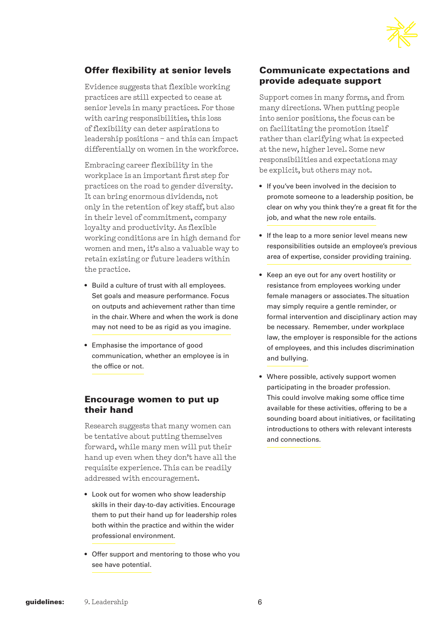

# Offer flexibility at senior levels

Evidence suggests that flexible working practices are still expected to cease at senior levels in many practices. For those with caring responsibilities, this loss of flexibility can deter aspirations to leadership positions – and this can impact differentially on women in the workforce.

Embracing career flexibility in the workplace is an important first step for practices on the road to gender diversity. It can bring enormous dividends, not only in the retention of key staff, but also in their level of commitment, company loyalty and productivity. As flexible working conditions are in high demand for women and men, it's also a valuable way to retain existing or future leaders within the practice.

- Build a culture of trust with all employees. Set goals and measure performance. Focus on outputs and achievement rather than time in the chair. Where and when the work is done may not need to be as rigid as you imagine.
- Emphasise the importance of good communication, whether an employee is in the office or not.

#### Encourage women to put up their hand

Research suggests that many women can be tentative about putting themselves forward, while many men will put their hand up even when they don't have all the requisite experience. This can be readily addressed with encouragement.

- Look out for women who show leadership skills in their day-to-day activities. Encourage them to put their hand up for leadership roles both within the practice and within the wider professional environment.
- Offer support and mentoring to those who you see have potential.

### Communicate expectations and provide adequate support

Support comes in many forms, and from many directions. When putting people into senior positions, the focus can be on facilitating the promotion itself rather than clarifying what is expected at the new, higher level. Some new responsibilities and expectations may be explicit, but others may not.

- If you've been involved in the decision to promote someone to a leadership position, be clear on why you think they're a great fit for the job, and what the new role entails.
- If the leap to a more senior level means new responsibilities outside an employee's previous area of expertise, consider providing training.
- Keep an eye out for any overt hostility or resistance from employees working under female managers or associates. The situation may simply require a gentle reminder, or formal intervention and disciplinary action may be necessary. Remember, under workplace law, the employer is responsible for the actions of employees, and this includes discrimination and bullying.
- Where possible, actively support women participating in the broader profession. This could involve making some office time available for these activities, offering to be a sounding board about initiatives, or facilitating introductions to others with relevant interests and connections.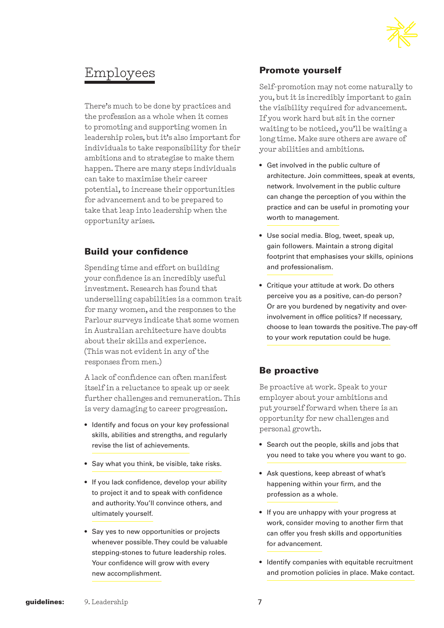

# Employees

There's much to be done by practices and the profession as a whole when it comes to promoting and supporting women in leadership roles, but it's also important for individuals to take responsibility for their ambitions and to strategise to make them happen. There are many steps individuals can take to maximise their career potential, to increase their opportunities for advancement and to be prepared to take that leap into leadership when the opportunity arises.

# Build your confidence

Spending time and effort on building your confidence is an incredibly useful investment. Research has found that underselling capabilities is a common trait for many women, and the responses to the Parlour surveys indicate that some women in Australian architecture have doubts about their skills and experience. (This was not evident in any of the responses from men.)

A lack of confidence can often manifest itself in a reluctance to speak up or seek further challenges and remuneration. This is very damaging to career progression.

- Identify and focus on your key professional skills, abilities and strengths, and regularly revise the list of achievements.
- Say what you think, be visible, take risks.
- If you lack confidence, develop your ability to project it and to speak with confidence and authority. You'll convince others, and ultimately yourself.
- Say yes to new opportunities or projects whenever possible. They could be valuable stepping-stones to future leadership roles. Your confidence will grow with every new accomplishment.

### Promote yourself

Self-promotion may not come naturally to you, but it is incredibly important to gain the visibility required for advancement. If you work hard but sit in the corner waiting to be noticed, you'll be waiting a long time. Make sure others are aware of your abilities and ambitions.

- Get involved in the public culture of architecture. Join committees, speak at events, network. Involvement in the public culture can change the perception of you within the practice and can be useful in promoting your worth to management.
- Use social media. Blog, tweet, speak up, gain followers. Maintain a strong digital footprint that emphasises your skills, opinions and professionalism.
- Critique your attitude at work. Do others perceive you as a positive, can-do person? Or are you burdened by negativity and overinvolvement in office politics? If necessary, choose to lean towards the positive. The pay-off to your work reputation could be huge.

# Be proactive

Be proactive at work. Speak to your employer about your ambitions and put yourself forward when there is an opportunity for new challenges and personal growth.

- Search out the people, skills and jobs that you need to take you where you want to go.
- Ask questions, keep abreast of what's happening within your firm, and the profession as a whole.
- If you are unhappy with your progress at work, consider moving to another firm that can offer you fresh skills and opportunities for advancement.
- Identify companies with equitable recruitment and promotion policies in place. Make contact.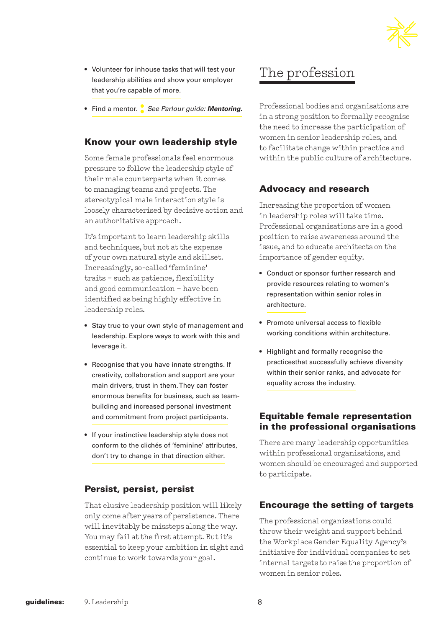

- Volunteer for inhouse tasks that will test your leadership abilities and show your employer that you're capable of more.
- Find a mentor. **:** *See Parlour guide: Mentoring.*

### Know your own leadership style

Some female professionals feel enormous pressure to follow the leadership style of their male counterparts when it comes to managing teams and projects. The stereotypical male interaction style is loosely characterised by decisive action and an authoritative approach.

It's important to learn leadership skills and techniques, but not at the expense of your own natural style and skillset. Increasingly, so-called 'feminine' traits – such as patience, flexibility and good communication – have been identified as being highly effective in leadership roles.

- Stay true to your own style of management and leadership. Explore ways to work with this and leverage it.
- Recognise that you have innate strengths. If creativity, collaboration and support are your main drivers, trust in them. They can foster enormous benefits for business, such as teambuilding and increased personal investment and commitment from project participants.
- If your instinctive leadership style does not conform to the clichés of 'feminine' attributes, don't try to change in that direction either.

### Persist, persist, persist

That elusive leadership position will likely only come after years of persistence. There will inevitably be missteps along the way. You may fail at the first attempt. But it's essential to keep your ambition in sight and continue to work towards your goal.

# The profession

Professional bodies and organisations are in a strong position to formally recognise the need to increase the participation of women in senior leadership roles, and to facilitate change within practice and within the public culture of architecture.

### Advocacy and research

Increasing the proportion of women in leadership roles will take time. Professional organisations are in a good position to raise awareness around the issue, and to educate architects on the importance of gender equity.

- Conduct or sponsor further research and provide resources relating to women's representation within senior roles in architecture.
- Promote universal access to flexible working conditions within architecture.
- Highlight and formally recognise the practicesthat successfully achieve diversity within their senior ranks, and advocate for equality across the industry.

### Equitable female representation in the professional organisations

There are many leadership opportunities within professional organisations, and women should be encouraged and supported to participate.

### Encourage the setting of targets

The professional organisations could throw their weight and support behind the Workplace Gender Equality Agency's initiative for individual companies to set internal targets to raise the proportion of women in senior roles.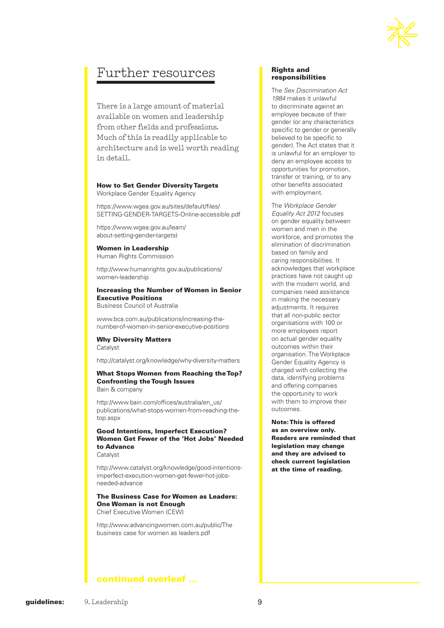

# Further resources

There is a large amount of material available on women and leadership from other fields and professions. Much of this is readily applicable to architecture and is well worth reading in detail.

#### How to Set Gender Diversity Targets

Workplace Gender Equality Agency

https://www.wgea.gov.au/sites/default/files/ SETTING-GENDER-TARGETS-Online-accessible.pdf

https://www.wgea.gov.au/learn/ about-setting-gender-targets)

#### Women in Leadership

Human Rights Commission

http://www.humanrights.gov.au/publications/ women-leadership

#### Increasing the Number of Women in Senior Executive Positions

Business Council of Australia

www.bca.com.au/publications/increasing-thenumber-of-women-in-senior-executive-positions

#### Why Diversity Matters Catalyst

http://catalyst.org/knowledge/why-diversity-matters

#### What Stops Women from Reaching the Top? Confronting the Tough Issues Bain & company

http://www.bain.com/offices/australia/en\_us/ publications/what-stops-women-from-reaching-thetop.aspx

#### Good Intentions, Imperfect Execution? Women Get Fewer of the 'Hot Jobs' Needed to Advance

**Catalyst** 

http://www.catalyst.org/knowledge/good-intentionsimperfect-execution-women-get-fewer-hot-jobsneeded-advance

#### The Business Case for Women as Leaders: One Woman is not Enough Chief Executive Women (CEW)

http://www.advancingwomen.com.au/public/The business case for women as leaders.pdf

#### Rights and responsibilities

The *Sex Discrimination Act 1984* makes it unlawful to discriminate against an employee because of their gender (or any characteristics specific to gender or generally believed to be specific to gender). The Act states that it is unlawful for an employer to deny an employee access to opportunities for promotion, transfer or training, or to any other benefits associated with employment.

The *Workplace Gender Equality Act 2012* focuses on gender equality between women and men in the workforce, and promotes the elimination of discrimination based on family and caring responsibilities. It acknowledges that workplace practices have not caught up with the modern world, and companies need assistance in making the necessary adjustments. It requires that all non-public sector organisations with 100 or more employees report on actual gender equality outcomes within their organisation. The Workplace Gender Equality Agency is charged with collecting the data, identifying problems and offering companies the opportunity to work with them to improve their outcomes.

Note: This is offered as an overview only. Readers are reminded that legislation may change and they are advised to check current legislation at the time of reading.

continued overleaf ...